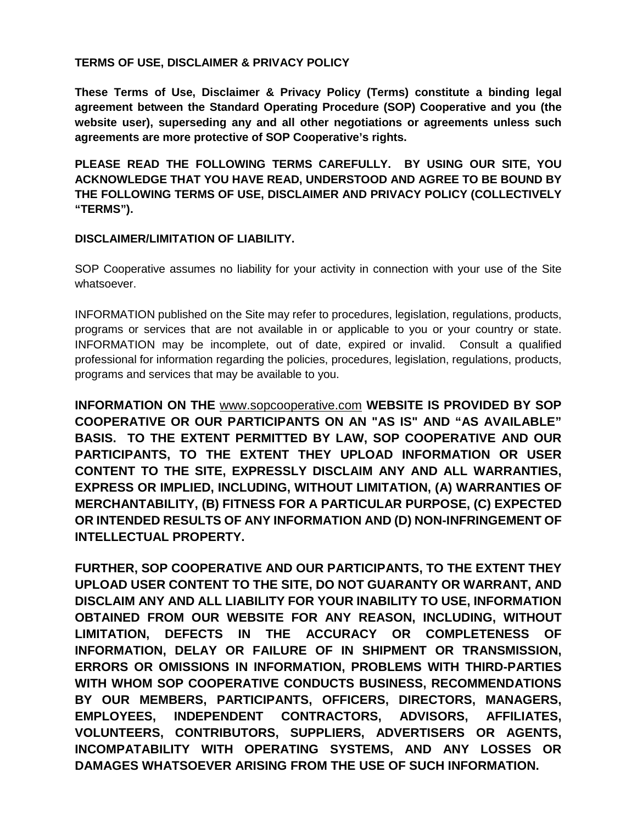#### **TERMS OF USE, DISCLAIMER & PRIVACY POLICY**

**These Terms of Use, Disclaimer & Privacy Policy (Terms) constitute a binding legal agreement between the Standard Operating Procedure (SOP) Cooperative and you (the website user), superseding any and all other negotiations or agreements unless such agreements are more protective of SOP Cooperative's rights.** 

**PLEASE READ THE FOLLOWING TERMS CAREFULLY. BY USING OUR SITE, YOU ACKNOWLEDGE THAT YOU HAVE READ, UNDERSTOOD AND AGREE TO BE BOUND BY THE FOLLOWING TERMS OF USE, DISCLAIMER AND PRIVACY POLICY (COLLECTIVELY "TERMS").** 

#### **DISCLAIMER/LIMITATION OF LIABILITY.**

SOP Cooperative assumes no liability for your activity in connection with your use of the Site whatsoever.

INFORMATION published on the Site may refer to procedures, legislation, regulations, products, programs or services that are not available in or applicable to you or your country or state. INFORMATION may be incomplete, out of date, expired or invalid. Consult a qualified professional for information regarding the policies, procedures, legislation, regulations, products, programs and services that may be available to you.

**INFORMATION ON THE** [www.sopcooperative.com](http://www.sopcooperative.com/) **WEBSITE IS PROVIDED BY SOP COOPERATIVE OR OUR PARTICIPANTS ON AN "AS IS" AND "AS AVAILABLE" BASIS. TO THE EXTENT PERMITTED BY LAW, SOP COOPERATIVE AND OUR PARTICIPANTS, TO THE EXTENT THEY UPLOAD INFORMATION OR USER CONTENT TO THE SITE, EXPRESSLY DISCLAIM ANY AND ALL WARRANTIES, EXPRESS OR IMPLIED, INCLUDING, WITHOUT LIMITATION, (A) WARRANTIES OF MERCHANTABILITY, (B) FITNESS FOR A PARTICULAR PURPOSE, (C) EXPECTED OR INTENDED RESULTS OF ANY INFORMATION AND (D) NON-INFRINGEMENT OF INTELLECTUAL PROPERTY.**

**FURTHER, SOP COOPERATIVE AND OUR PARTICIPANTS, TO THE EXTENT THEY UPLOAD USER CONTENT TO THE SITE, DO NOT GUARANTY OR WARRANT, AND DISCLAIM ANY AND ALL LIABILITY FOR YOUR INABILITY TO USE, INFORMATION OBTAINED FROM OUR WEBSITE FOR ANY REASON, INCLUDING, WITHOUT LIMITATION, DEFECTS IN THE ACCURACY OR COMPLETENESS OF INFORMATION, DELAY OR FAILURE OF IN SHIPMENT OR TRANSMISSION, ERRORS OR OMISSIONS IN INFORMATION, PROBLEMS WITH THIRD-PARTIES WITH WHOM SOP COOPERATIVE CONDUCTS BUSINESS, RECOMMENDATIONS BY OUR MEMBERS, PARTICIPANTS, OFFICERS, DIRECTORS, MANAGERS, EMPLOYEES, INDEPENDENT CONTRACTORS, ADVISORS, AFFILIATES, VOLUNTEERS, CONTRIBUTORS, SUPPLIERS, ADVERTISERS OR AGENTS, INCOMPATABILITY WITH OPERATING SYSTEMS, AND ANY LOSSES OR DAMAGES WHATSOEVER ARISING FROM THE USE OF SUCH INFORMATION.**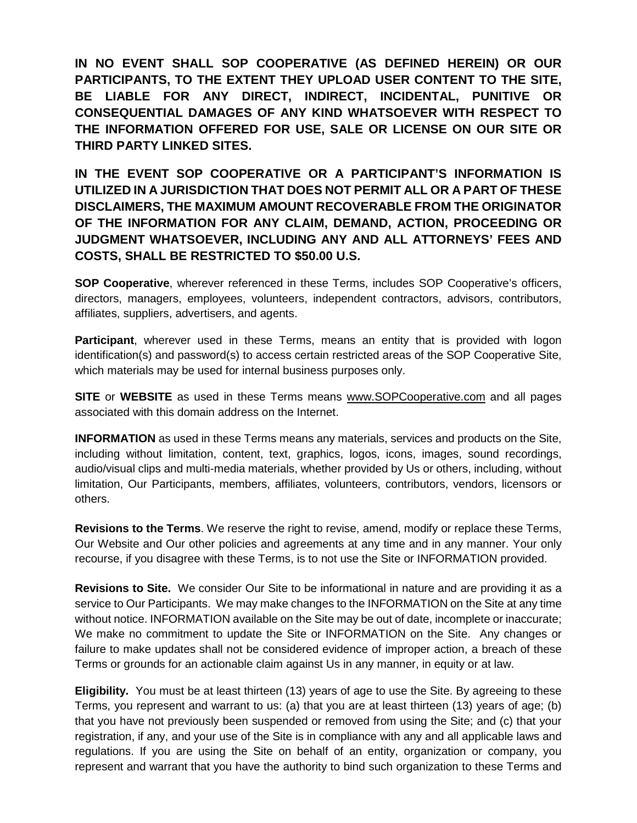**IN NO EVENT SHALL SOP COOPERATIVE (AS DEFINED HEREIN) OR OUR PARTICIPANTS, TO THE EXTENT THEY UPLOAD USER CONTENT TO THE SITE, BE LIABLE FOR ANY DIRECT, INDIRECT, INCIDENTAL, PUNITIVE OR CONSEQUENTIAL DAMAGES OF ANY KIND WHATSOEVER WITH RESPECT TO THE INFORMATION OFFERED FOR USE, SALE OR LICENSE ON OUR SITE OR THIRD PARTY LINKED SITES.**

**IN THE EVENT SOP COOPERATIVE OR A PARTICIPANT'S INFORMATION IS UTILIZED IN A JURISDICTION THAT DOES NOT PERMIT ALL OR A PART OF THESE DISCLAIMERS, THE MAXIMUM AMOUNT RECOVERABLE FROM THE ORIGINATOR OF THE INFORMATION FOR ANY CLAIM, DEMAND, ACTION, PROCEEDING OR JUDGMENT WHATSOEVER, INCLUDING ANY AND ALL ATTORNEYS' FEES AND COSTS, SHALL BE RESTRICTED TO \$50.00 U.S.**

**SOP Cooperative**, wherever referenced in these Terms, includes SOP Cooperative's officers, directors, managers, employees, volunteers, independent contractors, advisors, contributors, affiliates, suppliers, advertisers, and agents.

**Participant**, wherever used in these Terms, means an entity that is provided with logon identification(s) and password(s) to access certain restricted areas of the SOP Cooperative Site, which materials may be used for internal business purposes only.

**SITE** or **WEBSITE** as used in these Terms means [www.SOPCooperative.com](http://www.sopcooperative.com/) and all pages associated with this domain address on the Internet.

**INFORMATION** as used in these Terms means any materials, services and products on the Site, including without limitation, content, text, graphics, logos, icons, images, sound recordings, audio/visual clips and multi-media materials, whether provided by Us or others, including, without limitation, Our Participants, members, affiliates, volunteers, contributors, vendors, licensors or others.

**Revisions to the Terms**. We reserve the right to revise, amend, modify or replace these Terms, Our Website and Our other policies and agreements at any time and in any manner. Your only recourse, if you disagree with these Terms, is to not use the Site or INFORMATION provided.

**Revisions to Site.** We consider Our Site to be informational in nature and are providing it as a service to Our Participants. We may make changes to the INFORMATION on the Site at any time without notice. INFORMATION available on the Site may be out of date, incomplete or inaccurate; We make no commitment to update the Site or INFORMATION on the Site. Any changes or failure to make updates shall not be considered evidence of improper action, a breach of these Terms or grounds for an actionable claim against Us in any manner, in equity or at law.

**Eligibility.** You must be at least thirteen (13) years of age to use the Site. By agreeing to these Terms, you represent and warrant to us: (a) that you are at least thirteen (13) years of age; (b) that you have not previously been suspended or removed from using the Site; and (c) that your registration, if any, and your use of the Site is in compliance with any and all applicable laws and regulations. If you are using the Site on behalf of an entity, organization or company, you represent and warrant that you have the authority to bind such organization to these Terms and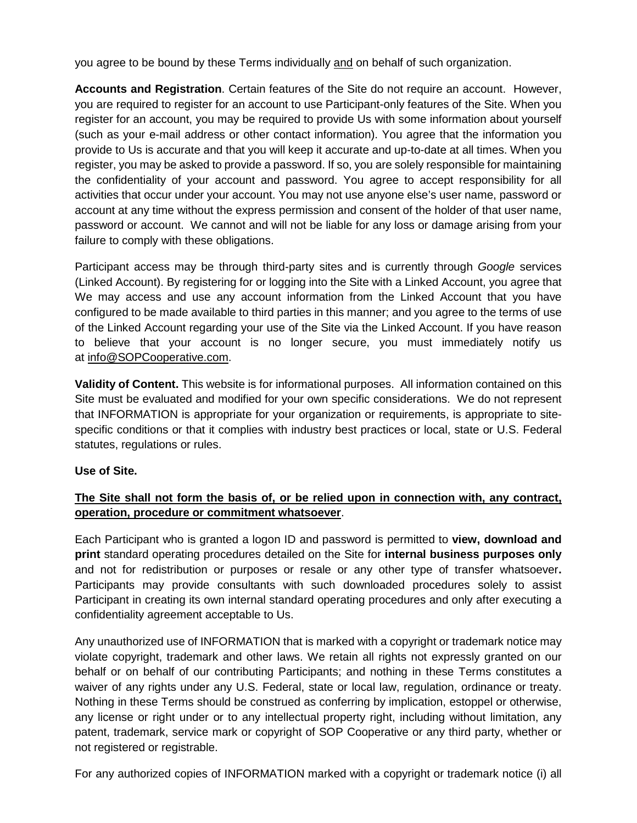you agree to be bound by these Terms individually and on behalf of such organization.

**Accounts and Registration**. Certain features of the Site do not require an account. However, you are required to register for an account to use Participant-only features of the Site. When you register for an account, you may be required to provide Us with some information about yourself (such as your e-mail address or other contact information). You agree that the information you provide to Us is accurate and that you will keep it accurate and up-to-date at all times. When you register, you may be asked to provide a password. If so, you are solely responsible for maintaining the confidentiality of your account and password. You agree to accept responsibility for all activities that occur under your account. You may not use anyone else's user name, password or account at any time without the express permission and consent of the holder of that user name, password or account. We cannot and will not be liable for any loss or damage arising from your failure to comply with these obligations.

Participant access may be through third-party sites and is currently through *Google* services (Linked Account). By registering for or logging into the Site with a Linked Account, you agree that We may access and use any account information from the Linked Account that you have configured to be made available to third parties in this manner; and you agree to the terms of use of the Linked Account regarding your use of the Site via the Linked Account. If you have reason to believe that your account is no longer secure, you must immediately notify us at [info@SOPCooperative.com.](mailto:info@SOPCooperative.com)

**Validity of Content.** This website is for informational purposes. All information contained on this Site must be evaluated and modified for your own specific considerations. We do not represent that INFORMATION is appropriate for your organization or requirements, is appropriate to sitespecific conditions or that it complies with industry best practices or local, state or U.S. Federal statutes, regulations or rules.

#### **Use of Site.**

# **The Site shall not form the basis of, or be relied upon in connection with, any contract, operation, procedure or commitment whatsoever**.

Each Participant who is granted a logon ID and password is permitted to **view, download and print** standard operating procedures detailed on the Site for **internal business purposes only**  and not for redistribution or purposes or resale or any other type of transfer whatsoever**.** Participants may provide consultants with such downloaded procedures solely to assist Participant in creating its own internal standard operating procedures and only after executing a confidentiality agreement acceptable to Us.

Any unauthorized use of INFORMATION that is marked with a copyright or trademark notice may violate copyright, trademark and other laws. We retain all rights not expressly granted on our behalf or on behalf of our contributing Participants; and nothing in these Terms constitutes a waiver of any rights under any U.S. Federal, state or local law, regulation, ordinance or treaty. Nothing in these Terms should be construed as conferring by implication, estoppel or otherwise, any license or right under or to any intellectual property right, including without limitation, any patent, trademark, service mark or copyright of SOP Cooperative or any third party, whether or not registered or registrable.

For any authorized copies of INFORMATION marked with a copyright or trademark notice (i) all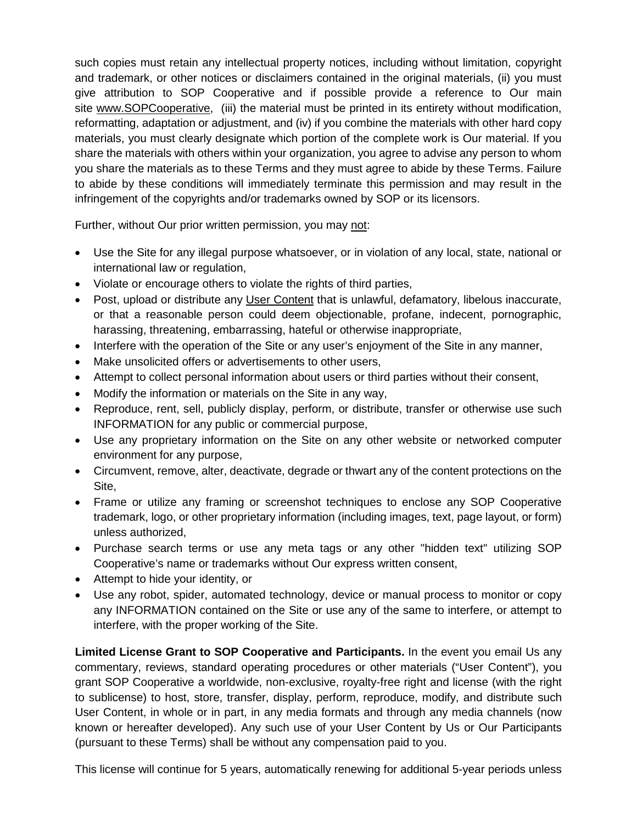such copies must retain any intellectual property notices, including without limitation, copyright and trademark, or other notices or disclaimers contained in the original materials, (ii) you must give attribution to SOP Cooperative and if possible provide a reference to Our main site [www.SOPCooperative,](http://www.sopcooperative/) (iii) the material must be printed in its entirety without modification, reformatting, adaptation or adjustment, and (iv) if you combine the materials with other hard copy materials, you must clearly designate which portion of the complete work is Our material. If you share the materials with others within your organization, you agree to advise any person to whom you share the materials as to these Terms and they must agree to abide by these Terms. Failure to abide by these conditions will immediately terminate this permission and may result in the infringement of the copyrights and/or trademarks owned by SOP or its licensors.

Further, without Our prior written permission, you may not:

- Use the Site for any illegal purpose whatsoever, or in violation of any local, state, national or international law or regulation,
- Violate or encourage others to violate the rights of third parties,
- Post, upload or distribute any User Content that is unlawful, defamatory, libelous inaccurate, or that a reasonable person could deem objectionable, profane, indecent, pornographic, harassing, threatening, embarrassing, hateful or otherwise inappropriate,
- Interfere with the operation of the Site or any user's enjoyment of the Site in any manner,
- Make unsolicited offers or advertisements to other users,
- Attempt to collect personal information about users or third parties without their consent,
- Modify the information or materials on the Site in any way,
- Reproduce, rent, sell, publicly display, perform, or distribute, transfer or otherwise use such INFORMATION for any public or commercial purpose,
- Use any proprietary information on the Site on any other website or networked computer environment for any purpose,
- Circumvent, remove, alter, deactivate, degrade or thwart any of the content protections on the Site,
- Frame or utilize any framing or screenshot techniques to enclose any SOP Cooperative trademark, logo, or other proprietary information (including images, text, page layout, or form) unless authorized,
- Purchase search terms or use any meta tags or any other "hidden text" utilizing SOP Cooperative's name or trademarks without Our express written consent,
- Attempt to hide your identity, or
- Use any robot, spider, automated technology, device or manual process to monitor or copy any INFORMATION contained on the Site or use any of the same to interfere, or attempt to interfere, with the proper working of the Site.

**Limited License Grant to SOP Cooperative and Participants.** In the event you email Us any commentary, reviews, standard operating procedures or other materials ("User Content"), you grant SOP Cooperative a worldwide, non-exclusive, royalty-free right and license (with the right to sublicense) to host, store, transfer, display, perform, reproduce, modify, and distribute such User Content, in whole or in part, in any media formats and through any media channels (now known or hereafter developed). Any such use of your User Content by Us or Our Participants (pursuant to these Terms) shall be without any compensation paid to you.

This license will continue for 5 years, automatically renewing for additional 5-year periods unless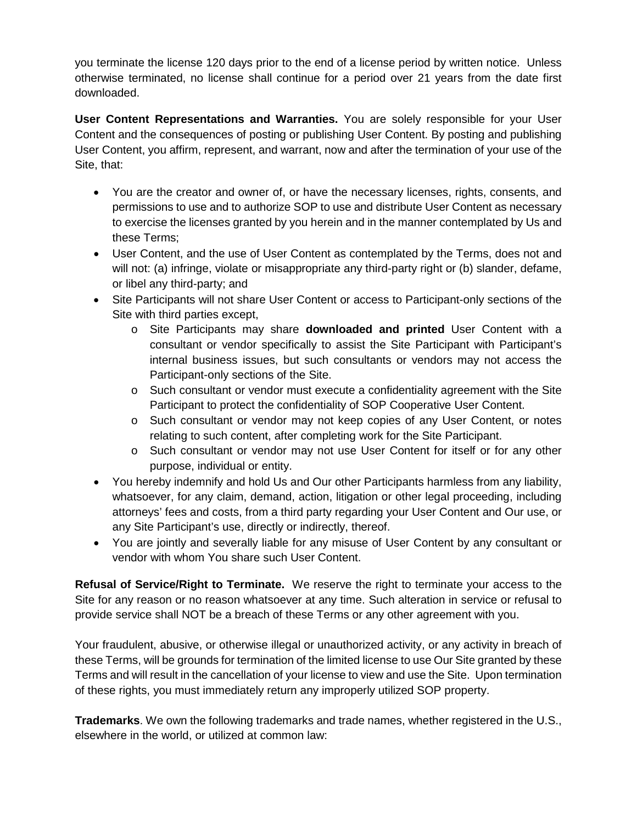you terminate the license 120 days prior to the end of a license period by written notice. Unless otherwise terminated, no license shall continue for a period over 21 years from the date first downloaded.

**User Content Representations and Warranties.** You are solely responsible for your User Content and the consequences of posting or publishing User Content. By posting and publishing User Content, you affirm, represent, and warrant, now and after the termination of your use of the Site, that:

- You are the creator and owner of, or have the necessary licenses, rights, consents, and permissions to use and to authorize SOP to use and distribute User Content as necessary to exercise the licenses granted by you herein and in the manner contemplated by Us and these Terms;
- User Content, and the use of User Content as contemplated by the Terms, does not and will not: (a) infringe, violate or misappropriate any third-party right or (b) slander, defame, or libel any third-party; and
- Site Participants will not share User Content or access to Participant-only sections of the Site with third parties except,
	- o Site Participants may share **downloaded and printed** User Content with a consultant or vendor specifically to assist the Site Participant with Participant's internal business issues, but such consultants or vendors may not access the Participant-only sections of the Site.
	- $\circ$  Such consultant or vendor must execute a confidentiality agreement with the Site Participant to protect the confidentiality of SOP Cooperative User Content.
	- o Such consultant or vendor may not keep copies of any User Content, or notes relating to such content, after completing work for the Site Participant.
	- o Such consultant or vendor may not use User Content for itself or for any other purpose, individual or entity.
- You hereby indemnify and hold Us and Our other Participants harmless from any liability, whatsoever, for any claim, demand, action, litigation or other legal proceeding, including attorneys' fees and costs, from a third party regarding your User Content and Our use, or any Site Participant's use, directly or indirectly, thereof.
- You are jointly and severally liable for any misuse of User Content by any consultant or vendor with whom You share such User Content.

**Refusal of Service/Right to Terminate.** We reserve the right to terminate your access to the Site for any reason or no reason whatsoever at any time. Such alteration in service or refusal to provide service shall NOT be a breach of these Terms or any other agreement with you.

Your fraudulent, abusive, or otherwise illegal or unauthorized activity, or any activity in breach of these Terms, will be grounds for termination of the limited license to use Our Site granted by these Terms and will result in the cancellation of your license to view and use the Site. Upon termination of these rights, you must immediately return any improperly utilized SOP property.

**Trademarks**. We own the following trademarks and trade names, whether registered in the U.S., elsewhere in the world, or utilized at common law: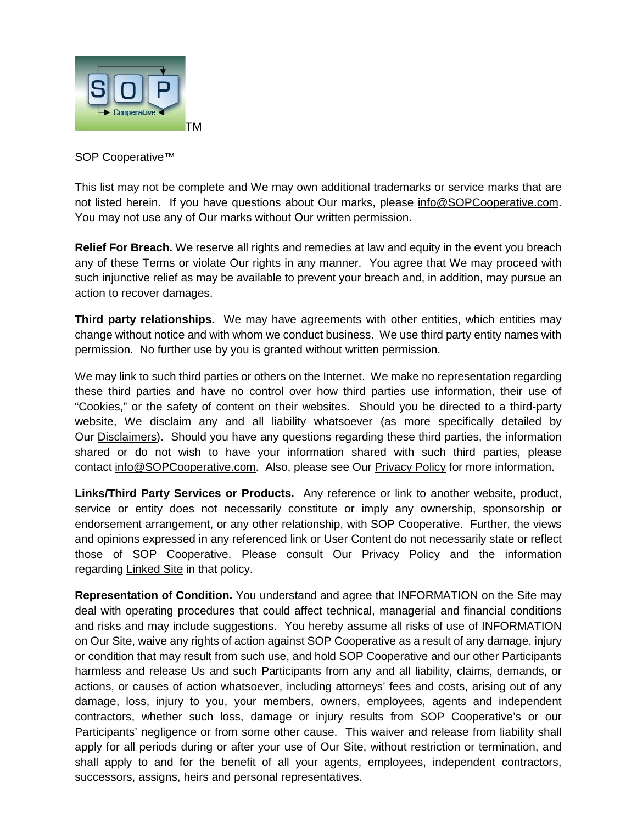

SOP Cooperative<sup>™</sup>

This list may not be complete and We may own additional trademarks or service marks that are not listed herein. If you have questions about Our marks, please [info@SOPCooperative.com.](mailto:info@SOPCooperative.com) You may not use any of Our marks without Our written permission.

**Relief For Breach.** We reserve all rights and remedies at law and equity in the event you breach any of these Terms or violate Our rights in any manner. You agree that We may proceed with such injunctive relief as may be available to prevent your breach and, in addition, may pursue an action to recover damages.

**Third party relationships.** We may have agreements with other entities, which entities may change without notice and with whom we conduct business. We use third party entity names with permission. No further use by you is granted without written permission.

We may link to such third parties or others on the Internet. We make no representation regarding these third parties and have no control over how third parties use information, their use of "Cookies," or the safety of content on their websites. Should you be directed to a third-party website, We disclaim any and all liability whatsoever (as more specifically detailed by Our [Disclaimers\)](#page-6-0). Should you have any questions regarding these third parties, the information shared or do not wish to have your information shared with such third parties, please contact [info@SOPCooperative.com.](mailto:info@SOPCooperative.com) Also, please see Our [Privacy Policy](#page-7-0) for more information.

**Links/Third Party Services or Products.** Any reference or link to another website, product, service or entity does not necessarily constitute or imply any ownership, sponsorship or endorsement arrangement, or any other relationship, with SOP Cooperative. Further, the views and opinions expressed in any referenced link or User Content do not necessarily state or reflect those of SOP Cooperative. Please consult Our [Privacy Policy](#page-7-0) and the information regarding [Linked Site](#page-9-0) in that policy.

**Representation of Condition.** You understand and agree that INFORMATION on the Site may deal with operating procedures that could affect technical, managerial and financial conditions and risks and may include suggestions. You hereby assume all risks of use of INFORMATION on Our Site, waive any rights of action against SOP Cooperative as a result of any damage, injury or condition that may result from such use, and hold SOP Cooperative and our other Participants harmless and release Us and such Participants from any and all liability, claims, demands, or actions, or causes of action whatsoever, including attorneys' fees and costs, arising out of any damage, loss, injury to you, your members, owners, employees, agents and independent contractors, whether such loss, damage or injury results from SOP Cooperative's or our Participants' negligence or from some other cause. This waiver and release from liability shall apply for all periods during or after your use of Our Site, without restriction or termination, and shall apply to and for the benefit of all your agents, employees, independent contractors, successors, assigns, heirs and personal representatives.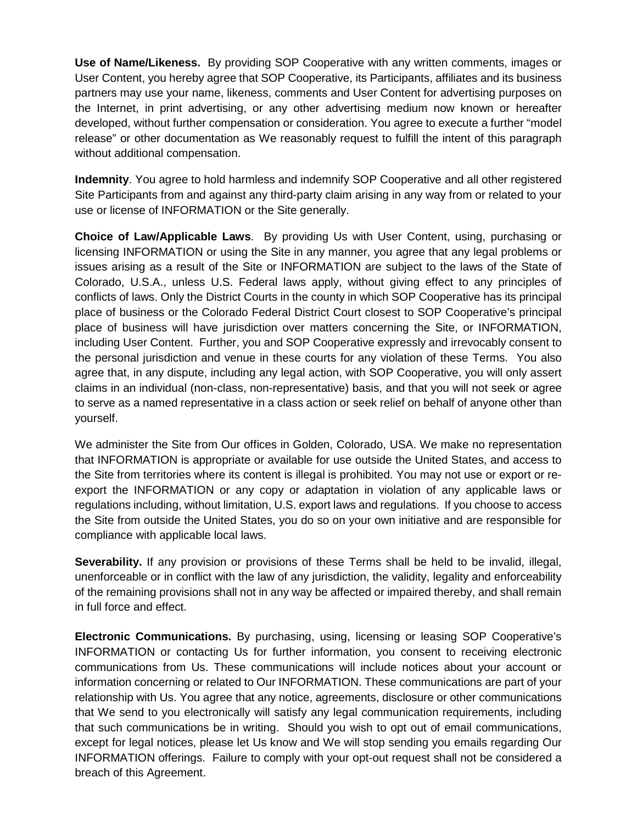**Use of Name/Likeness.** By providing SOP Cooperative with any written comments, images or User Content, you hereby agree that SOP Cooperative, its Participants, affiliates and its business partners may use your name, likeness, comments and User Content for advertising purposes on the Internet, in print advertising, or any other advertising medium now known or hereafter developed, without further compensation or consideration. You agree to execute a further "model release" or other documentation as We reasonably request to fulfill the intent of this paragraph without additional compensation.

<span id="page-6-0"></span>**Indemnity**. You agree to hold harmless and indemnify SOP Cooperative and all other registered Site Participants from and against any third-party claim arising in any way from or related to your use or license of INFORMATION or the Site generally.

**Choice of Law/Applicable Laws**. By providing Us with User Content, using, purchasing or licensing INFORMATION or using the Site in any manner, you agree that any legal problems or issues arising as a result of the Site or INFORMATION are subject to the laws of the State of Colorado, U.S.A., unless U.S. Federal laws apply, without giving effect to any principles of conflicts of laws. Only the District Courts in the county in which SOP Cooperative has its principal place of business or the Colorado Federal District Court closest to SOP Cooperative's principal place of business will have jurisdiction over matters concerning the Site, or INFORMATION, including User Content. Further, you and SOP Cooperative expressly and irrevocably consent to the personal jurisdiction and venue in these courts for any violation of these Terms. You also agree that, in any dispute, including any legal action, with SOP Cooperative, you will only assert claims in an individual (non-class, non-representative) basis, and that you will not seek or agree to serve as a named representative in a class action or seek relief on behalf of anyone other than yourself.

We administer the Site from Our offices in Golden, Colorado, USA. We make no representation that INFORMATION is appropriate or available for use outside the United States, and access to the Site from territories where its content is illegal is prohibited. You may not use or export or reexport the INFORMATION or any copy or adaptation in violation of any applicable laws or regulations including, without limitation, U.S. export laws and regulations. If you choose to access the Site from outside the United States, you do so on your own initiative and are responsible for compliance with applicable local laws.

**Severability.** If any provision or provisions of these Terms shall be held to be invalid, illegal, unenforceable or in conflict with the law of any jurisdiction, the validity, legality and enforceability of the remaining provisions shall not in any way be affected or impaired thereby, and shall remain in full force and effect.

**Electronic Communications.** By purchasing, using, licensing or leasing SOP Cooperative's INFORMATION or contacting Us for further information, you consent to receiving electronic communications from Us. These communications will include notices about your account or information concerning or related to Our INFORMATION. These communications are part of your relationship with Us. You agree that any notice, agreements, disclosure or other communications that We send to you electronically will satisfy any legal communication requirements, including that such communications be in writing. Should you wish to opt out of email communications, except for legal notices, please let Us know and We will stop sending you emails regarding Our INFORMATION offerings. Failure to comply with your opt-out request shall not be considered a breach of this Agreement.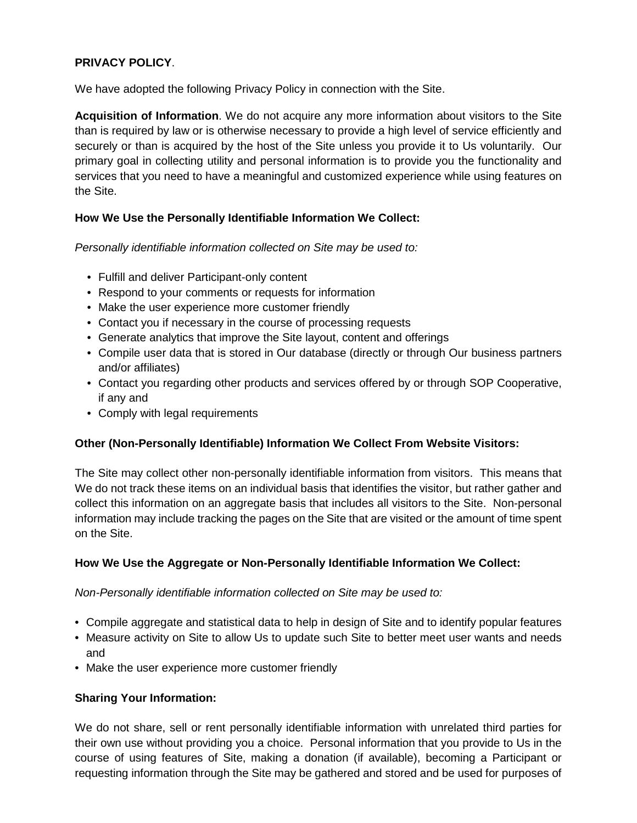# <span id="page-7-0"></span>**PRIVACY POLICY**.

We have adopted the following Privacy Policy in connection with the Site.

**Acquisition of Information**. We do not acquire any more information about visitors to the Site than is required by law or is otherwise necessary to provide a high level of service efficiently and securely or than is acquired by the host of the Site unless you provide it to Us voluntarily. Our primary goal in collecting utility and personal information is to provide you the functionality and services that you need to have a meaningful and customized experience while using features on the Site.

# **How We Use the Personally Identifiable Information We Collect:**

*Personally identifiable information collected on Site may be used to:*

- Fulfill and deliver Participant-only content
- Respond to your comments or requests for information
- Make the user experience more customer friendly
- Contact you if necessary in the course of processing requests
- Generate analytics that improve the Site layout, content and offerings
- Compile user data that is stored in Our database (directly or through Our business partners and/or affiliates)
- Contact you regarding other products and services offered by or through SOP Cooperative, if any and
- Comply with legal requirements

# **Other (Non-Personally Identifiable) Information We Collect From Website Visitors:**

The Site may collect other non-personally identifiable information from visitors. This means that We do not track these items on an individual basis that identifies the visitor, but rather gather and collect this information on an aggregate basis that includes all visitors to the Site. Non-personal information may include tracking the pages on the Site that are visited or the amount of time spent on the Site.

# **How We Use the Aggregate or Non-Personally Identifiable Information We Collect:**

*Non-Personally identifiable information collected on Site may be used to:*

- Compile aggregate and statistical data to help in design of Site and to identify popular features
- Measure activity on Site to allow Us to update such Site to better meet user wants and needs and
- Make the user experience more customer friendly

# **Sharing Your Information:**

We do not share, sell or rent personally identifiable information with unrelated third parties for their own use without providing you a choice. Personal information that you provide to Us in the course of using features of Site, making a donation (if available), becoming a Participant or requesting information through the Site may be gathered and stored and be used for purposes of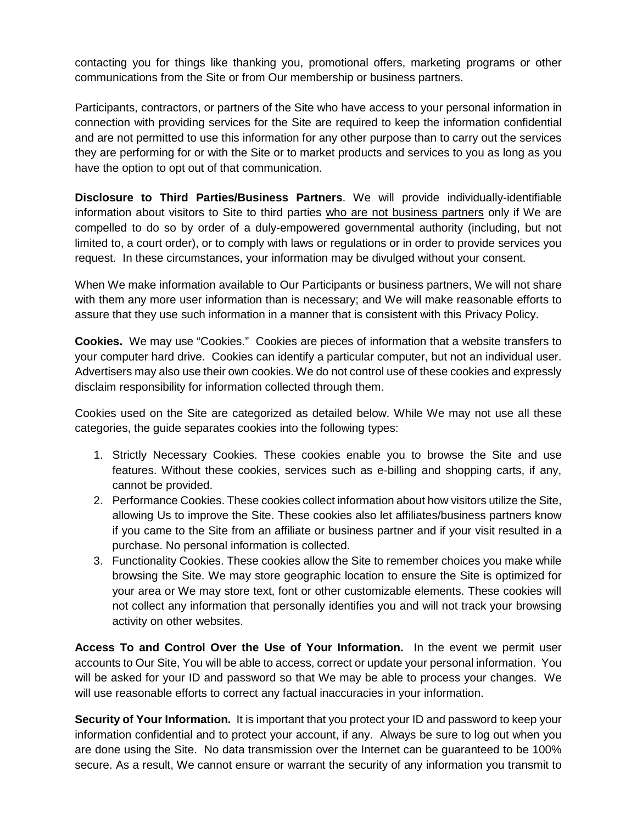contacting you for things like thanking you, promotional offers, marketing programs or other communications from the Site or from Our membership or business partners.

Participants, contractors, or partners of the Site who have access to your personal information in connection with providing services for the Site are required to keep the information confidential and are not permitted to use this information for any other purpose than to carry out the services they are performing for or with the Site or to market products and services to you as long as you have the option to opt out of that communication.

**Disclosure to Third Parties/Business Partners**. We will provide individually-identifiable information about visitors to Site to third parties who are not business partners only if We are compelled to do so by order of a duly-empowered governmental authority (including, but not limited to, a court order), or to comply with laws or regulations or in order to provide services you request. In these circumstances, your information may be divulged without your consent.

When We make information available to Our Participants or business partners, We will not share with them any more user information than is necessary; and We will make reasonable efforts to assure that they use such information in a manner that is consistent with this Privacy Policy.

**Cookies.** We may use "Cookies." Cookies are pieces of information that a website transfers to your computer hard drive. Cookies can identify a particular computer, but not an individual user. Advertisers may also use their own cookies. We do not control use of these cookies and expressly disclaim responsibility for information collected through them.

Cookies used on the Site are categorized as detailed below. While We may not use all these categories, the guide separates cookies into the following types:

- 1. Strictly Necessary Cookies. These cookies enable you to browse the Site and use features. Without these cookies, services such as e-billing and shopping carts, if any, cannot be provided.
- 2. Performance Cookies. These cookies collect information about how visitors utilize the Site, allowing Us to improve the Site. These cookies also let affiliates/business partners know if you came to the Site from an affiliate or business partner and if your visit resulted in a purchase. No personal information is collected.
- 3. Functionality Cookies. These cookies allow the Site to remember choices you make while browsing the Site. We may store geographic location to ensure the Site is optimized for your area or We may store text, font or other customizable elements. These cookies will not collect any information that personally identifies you and will not track your browsing activity on other websites.

**Access To and Control Over the Use of Your Information.** In the event we permit user accounts to Our Site, You will be able to access, correct or update your personal information. You will be asked for your ID and password so that We may be able to process your changes. We will use reasonable efforts to correct any factual inaccuracies in your information.

**Security of Your Information.** It is important that you protect your ID and password to keep your information confidential and to protect your account, if any. Always be sure to log out when you are done using the Site. No data transmission over the Internet can be guaranteed to be 100% secure. As a result, We cannot ensure or warrant the security of any information you transmit to